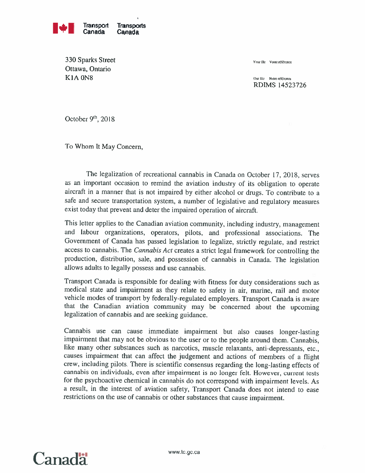

330 Sparks Street Ottawa, Ontario  $K1A$  ON8 Our file Note reference

Your file Votre référence

RDIMS 14523726

October 9th, 2018

To Whom It May Concern,

The legalization of recreational cannabis in Canada on October 17, 2018, serves as an important occasion to remind the aviation industry of its obligation to operate aircraft in <sup>a</sup> manner that is not impaired by either alcohol or drugs. To contribute to <sup>a</sup> safe and secure transportation system, <sup>a</sup> number of legislative and regulatory measures exist today that prevent and deter the impaired operation of aircraft.

This letter applies to the Canadian aviation community, including industry, management and labour organizations, operators, pilots, and professional associations. The Government of Canada has passed legislation to legalize, strictly regulate, and restrict access to cannabis. The *Cannabis Act* creates a strict legal framework for controlling the production, distribution, sale, and possession of cannabis in Canada. The legislation allows adults to legally possess and use cannabis.

Transport Canada is responsible for dealing with fitness for duty considerations such as medical state and impairment as they relate to safety in air, marine, rail and motor vehicle modes of transport by federally-regulated employers. Transport Canada is aware that the Canadian aviation community may be concerned about the upcominglegalization of cannabis and are seeking guidance.

Cannabis use can cause immediate impairment but also causes longer-lasting impairment that may not be obvious to the user or to the people around them. Cannabis, like many other substances such as narcotics, muscle relaxants, anti-depressants, etc., causes impairment that can affect the judgement and actions of members of <sup>a</sup> flight crew, including pilots. There is scientific consensus regarding the long-lasting effects of cannabis on individuals, even after impairment is no longer felt. However, current tests for the psychoactive chemical in cannabis do not correspond with impairment levels. As <sup>a</sup> result, in the interest of aviation safety, Transport Canada does not intend to ease restrictions on the use of cannabis or other substances that cause impairment.

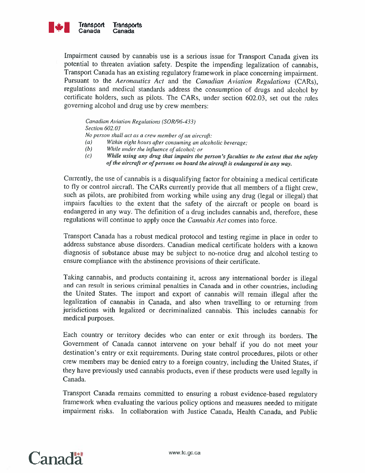

Impairment caused by cannabis use is <sup>a</sup> serious issue for Transport Canada given its potential to threaten aviation safety. Despite the impending legalization of cannabis, Transport Canada has an existing regulatory framework in place concerning impairment. Pursuant to the Aeronautics Act and the Canadian Aviation Regulations (CARs), regulations and medical standards address the consumption of drugs and alcohol by certificate holders, such as pilots. The CARs, under section 602.03, set out the rules governing alcohol and drug use by crew members:

canadian Aviation Regulations (SORJ96-433) Section 602.03 No person shall act as <sup>a</sup> crew member of an aircraft:

- (a) Within eight hours after consuming an alcoholic beverage;
- $(b)$  While under the influence of alcohol; or
- (c) While using any drug that impairs the person's faculties to the extent that the safety of the aircraft or of persons on board the aircraft is endangered in any way.

Currently, the use of cannabis is <sup>a</sup> disqualifying factor for obtaining <sup>a</sup> medical certificate to fly or control aircraft. The CARs currently provide that all members of <sup>a</sup> flight crew, such as pilots, are prohibited from working while using any drug (legal or illegal) that impairs faculties to the extent that the safety of the aircraft or people on board is endangered in any way. The definition of <sup>a</sup> drug includes cannabis and, therefore, these regulations will continue to apply once the Cannabis Act comes into force.

Transport Canada has <sup>a</sup> robust medical protocol and testing regime in place in order to address substance abuse disorders. Canadian medical certificate holders with a known diagnosis of substance abuse may be subject to no-notice drug and alcohol testing to ensure compliance with the abstinence provisions of their certificate.

Taking cannabis, and products containing it, across any international border is illegal and can result in serious criminal penalties in Canada and in other countries, including the United States. The import and export of cannabis will remain illegal after the legalization of cannabis in Canada, and also when travelling to or returning from jurisdictions with legalized or decriminalized cannabis. This includes cannabis for medical purposes.

Each country or territory decides who can enter or exit through its borders. The Government of Canada cannot intervene on your behalf if you do not meet your destination's entry or exit requirements. During state control procedures, pilots or other crew members may be denied entry to <sup>a</sup> foreign country, including the United States, if they have previously used cannabis products, even if these products were used legally in Canada.

Transport Canada remains committed to ensuring <sup>a</sup> robust evidence-based regulatory framework when evaluating the various policy options and measures needed to mitigate impairment risks. In collaboration with Justice Canada, Health Canada, and Public